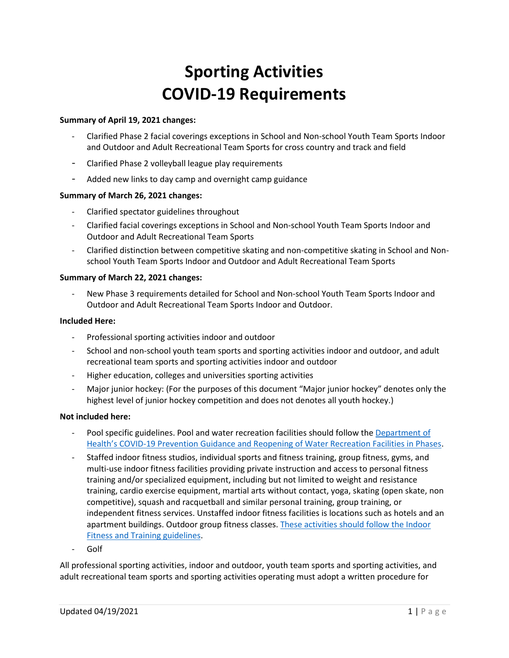# **Sporting Activities COVID-19 Requirements**

#### **Summary of April 19, 2021 changes:**

- Clarified Phase 2 facial coverings exceptions in School and Non-school Youth Team Sports Indoor and Outdoor and Adult Recreational Team Sports for cross country and track and field
- Clarified Phase 2 volleyball league play requirements
- Added new links to day camp and overnight camp guidance

#### **Summary of March 26, 2021 changes:**

- Clarified spectator guidelines throughout
- Clarified facial coverings exceptions in School and Non-school Youth Team Sports Indoor and Outdoor and Adult Recreational Team Sports
- Clarified distinction between competitive skating and non-competitive skating in School and Nonschool Youth Team Sports Indoor and Outdoor and Adult Recreational Team Sports

#### **Summary of March 22, 2021 changes:**

- New Phase 3 requirements detailed for School and Non-school Youth Team Sports Indoor and Outdoor and Adult Recreational Team Sports Indoor and Outdoor.

# **Included Here:**

- Professional sporting activities indoor and outdoor
- School and non-school youth team sports and sporting activities indoor and outdoor, and adult recreational team sports and sporting activities indoor and outdoor
- Higher education, colleges and universities sporting activities
- Major junior hockey: (For the purposes of this document "Major junior hockey" denotes only the highest level of junior hockey competition and does not denotes all youth hockey.)

#### **Not included here:**

- Pool specific guidelines. Pool and water recreation facilities should follow the [Department of](https://www.doh.wa.gov/Portals/1/Documents/1600/coronavirus/ReopeningWaterRecreationFacilitiesCOVID19.pdf)  Health's COVID[-19 Prevention Guidance and Reopening of Water Recreation Facilities in Phases.](https://www.doh.wa.gov/Portals/1/Documents/1600/coronavirus/ReopeningWaterRecreationFacilitiesCOVID19.pdf)
- Staffed indoor fitness studios, individual sports and fitness training, group fitness, gyms, and multi-use indoor fitness facilities providing private instruction and access to personal fitness training and/or specialized equipment, including but not limited to weight and resistance training, cardio exercise equipment, martial arts without contact, yoga, skating (open skate, non competitive), squash and racquetball and similar personal training, group training, or independent fitness services. Unstaffed indoor fitness facilities is locations such as hotels and an apartment buildings. Outdoor group fitness classes. [These activities should follow the Indoor](https://www.governor.wa.gov/sites/default/files/COVID19%20Fitness%20Guidance.pdf)  [Fitness and Training guidelines.](https://www.governor.wa.gov/sites/default/files/COVID19%20Fitness%20Guidance.pdf)
- Golf

All professional sporting activities, indoor and outdoor, youth team sports and sporting activities, and adult recreational team sports and sporting activities operating must adopt a written procedure for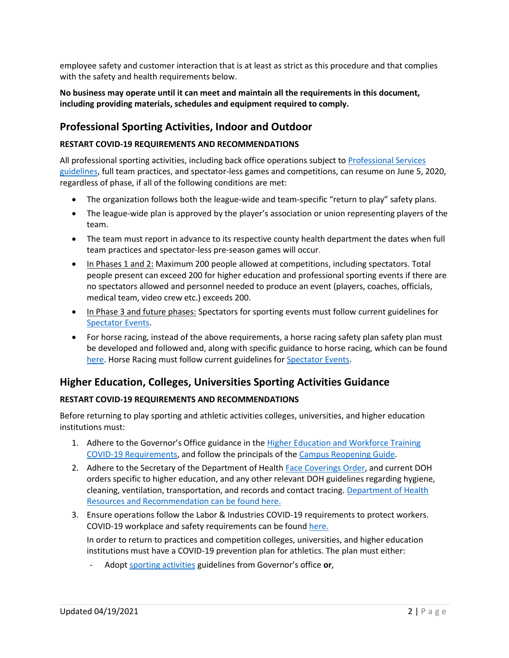employee safety and customer interaction that is at least as strict as this procedure and that complies with the safety and health requirements below.

# **No business may operate until it can meet and maintain all the requirements in this document, including providing materials, schedules and equipment required to comply.**

# **Professional Sporting Activities, Indoor and Outdoor**

## **RESTART COVID-19 REQUIREMENTS AND RECOMMENDATIONS**

All professional sporting activities, including back office operations subject t[o Professional Services](https://www.governor.wa.gov/sites/default/files/COVID19Phase2ProfessionalServicesGuidance.pdf)  [guidelines,](https://www.governor.wa.gov/sites/default/files/COVID19Phase2ProfessionalServicesGuidance.pdf) full team practices, and spectator-less games and competitions, can resume on June 5, 2020, regardless of phase, if all of the following conditions are met:

- The organization follows both the league-wide and team-specific "return to play" safety plans.
- The league-wide plan is approved by the player's association or union representing players of the team.
- The team must report in advance to its respective county health department the dates when full team practices and spectator-less pre-season games will occur.
- In Phases 1 and 2: Maximum 200 people allowed at competitions, including spectators. Total people present can exceed 200 for higher education and professional sporting events if there are no spectators allowed and personnel needed to produce an event (players, coaches, officials, medical team, video crew etc.) exceeds 200.
- In Phase 3 and future phases: Spectators for sporting events must follow current guidelines for [Spectator Events.](https://www.governor.wa.gov/sites/default/files/COVID19%20Spectator%20Event%20Guidance.pdf)
- For horse racing, instead of the above requirements, a horse racing safety plan safety plan must be developed and followed and, along with specific guidance to horse racing, which can be found [here.](https://www.governor.wa.gov/sites/default/files/COVID19%20Phase%202%20Live%20Horse%20Racing%20Guidance.pdf) Horse Racing must follow current guidelines for **Spectator Events**.

# **Higher Education, Colleges, Universities Sporting Activities Guidance**

# **RESTART COVID-19 REQUIREMENTS AND RECOMMENDATIONS**

Before returning to play sporting and athletic activities colleges, universities, and higher education institutions must:

- 1. Adhere to the Governor's Office guidance in the Higher Education and Workforce Training [COVID-19 Requirements,](https://www.governor.wa.gov/sites/default/files/COVID19Phase2Higher%20EducationGuidance.pdf) and follow the principals of the [Campus Reopening Guide.](https://www.governor.wa.gov/sites/default/files/2020.06.23%20Campus%20Reopening%20Guide%20FINAL.pdf)
- 2. Adhere to the Secretary of the Department of Healt[h Face Coverings Order,](https://www.doh.wa.gov/Portals/1/Documents/1600/coronavirus/Secretary_of_Health_Order_20-03_Statewide_Face_Coverings.pdf) and current DOH orders specific to higher education, and any other relevant DOH guidelines regarding hygiene, cleaning, ventilation, transportation, and records and contact tracing. [Department of Health](https://www.doh.wa.gov/Emergencies/COVID19/ResourcesandRecommendations)  [Resources and Recommendation can be found here.](https://www.doh.wa.gov/Emergencies/COVID19/ResourcesandRecommendations)
- 3. Ensure operations follow the Labor & Industries COVID-19 requirements to protect workers. COVID-19 workplace and safety requirements can be found [here.](https://lni.wa.gov/forms-publications/f414-169-000.pdf) In order to return to practices and competition colleges, universities, and higher education
	- institutions must have a COVID-19 prevention plan for athletics. The plan must either:
		- Adopt [sporting activities](https://www.governor.wa.gov/sites/default/files/COVID19%20Phase%202%20and%203%20Sporting%20Activities%20Guidance.pdf) guidelines from Governor's office or,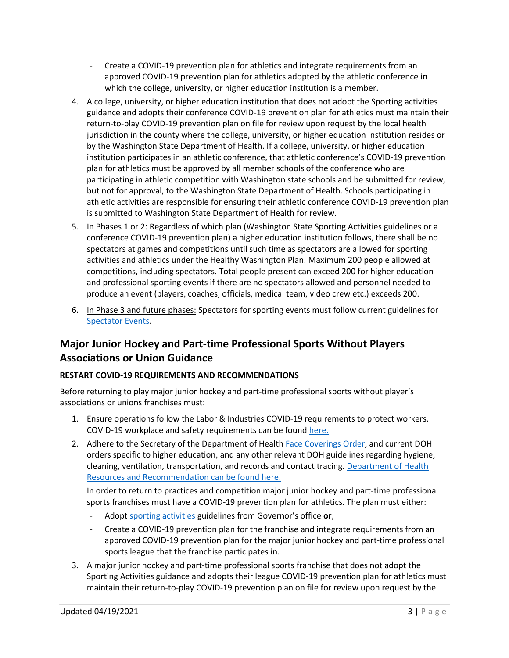- Create a COVID-19 prevention plan for athletics and integrate requirements from an approved COVID-19 prevention plan for athletics adopted by the athletic conference in which the college, university, or higher education institution is a member.
- 4. A college, university, or higher education institution that does not adopt the Sporting activities guidance and adopts their conference COVID-19 prevention plan for athletics must maintain their return-to-play COVID-19 prevention plan on file for review upon request by the local health jurisdiction in the county where the college, university, or higher education institution resides or by the Washington State Department of Health. If a college, university, or higher education institution participates in an athletic conference, that athletic conference's COVID-19 prevention plan for athletics must be approved by all member schools of the conference who are participating in athletic competition with Washington state schools and be submitted for review, but not for approval, to the Washington State Department of Health. Schools participating in athletic activities are responsible for ensuring their athletic conference COVID-19 prevention plan is submitted to Washington State Department of Health for review.
- 5. In Phases 1 or 2: Regardless of which plan (Washington State Sporting Activities guidelines or a conference COVID-19 prevention plan) a higher education institution follows, there shall be no spectators at games and competitions until such time as spectators are allowed for sporting activities and athletics under the Healthy Washington Plan. Maximum 200 people allowed at competitions, including spectators. Total people present can exceed 200 for higher education and professional sporting events if there are no spectators allowed and personnel needed to produce an event (players, coaches, officials, medical team, video crew etc.) exceeds 200.
- 6. In Phase 3 and future phases: Spectators for sporting events must follow current guidelines for [Spectator Events.](https://www.governor.wa.gov/sites/default/files/COVID19%20Spectator%20Event%20Guidance.pdf)

# **Major Junior Hockey and Part-time Professional Sports Without Players Associations or Union Guidance**

# **RESTART COVID-19 REQUIREMENTS AND RECOMMENDATIONS**

Before returning to play major junior hockey and part-time professional sports without player's associations or unions franchises must:

- 1. Ensure operations follow the Labor & Industries COVID-19 requirements to protect workers. COVID-19 workplace and safety requirements can be found [here.](https://lni.wa.gov/forms-publications/f414-169-000.pdf)
- 2. Adhere to the Secretary of the Department of Healt[h Face Coverings Order,](https://www.doh.wa.gov/Portals/1/Documents/1600/coronavirus/Secretary_of_Health_Order_20-03_Statewide_Face_Coverings.pdf) and current DOH orders specific to higher education, and any other relevant DOH guidelines regarding hygiene, cleaning, ventilation, transportation, and records and contact tracing. [Department of Health](https://www.doh.wa.gov/Emergencies/COVID19/ResourcesandRecommendations)  [Resources and Recommendation can be found here.](https://www.doh.wa.gov/Emergencies/COVID19/ResourcesandRecommendations)

In order to return to practices and competition major junior hockey and part-time professional sports franchises must have a COVID-19 prevention plan for athletics. The plan must either:

- Adopt [sporting activities](https://www.governor.wa.gov/sites/default/files/COVID19%20Sporting%20Activities%20Guidance.pdf) guidelines from Governor's office **or**,
- Create a COVID-19 prevention plan for the franchise and integrate requirements from an approved COVID-19 prevention plan for the major junior hockey and part-time professional sports league that the franchise participates in.
- 3. A major junior hockey and part-time professional sports franchise that does not adopt the Sporting Activities guidance and adopts their league COVID-19 prevention plan for athletics must maintain their return-to-play COVID-19 prevention plan on file for review upon request by the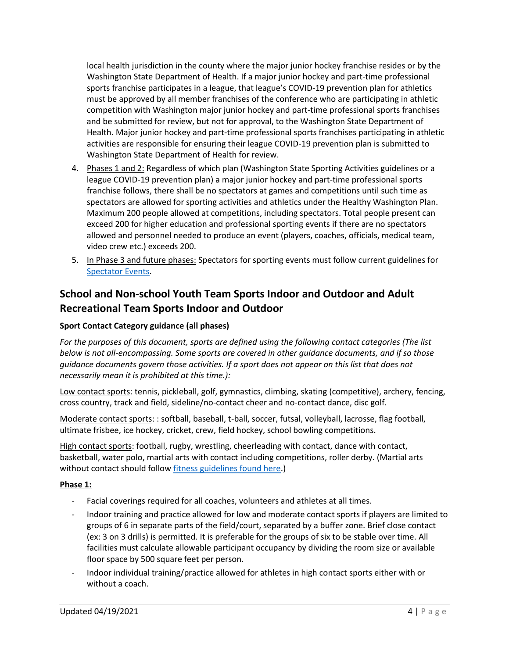local health jurisdiction in the county where the major junior hockey franchise resides or by the Washington State Department of Health. If a major junior hockey and part-time professional sports franchise participates in a league, that league's COVID-19 prevention plan for athletics must be approved by all member franchises of the conference who are participating in athletic competition with Washington major junior hockey and part-time professional sports franchises and be submitted for review, but not for approval, to the Washington State Department of Health. Major junior hockey and part-time professional sports franchises participating in athletic activities are responsible for ensuring their league COVID-19 prevention plan is submitted to Washington State Department of Health for review.

- 4. Phases 1 and 2: Regardless of which plan (Washington State Sporting Activities guidelines or a league COVID-19 prevention plan) a major junior hockey and part-time professional sports franchise follows, there shall be no spectators at games and competitions until such time as spectators are allowed for sporting activities and athletics under the Healthy Washington Plan. Maximum 200 people allowed at competitions, including spectators. Total people present can exceed 200 for higher education and professional sporting events if there are no spectators allowed and personnel needed to produce an event (players, coaches, officials, medical team, video crew etc.) exceeds 200.
- 5. In Phase 3 and future phases: Spectators for sporting events must follow current guidelines for [Spectator Events.](https://www.governor.wa.gov/sites/default/files/COVID19%20Spectator%20Event%20Guidance.pdf)

# **School and Non-school Youth Team Sports Indoor and Outdoor and Adult Recreational Team Sports Indoor and Outdoor**

# **Sport Contact Category guidance (all phases)**

*For the purposes of this document, sports are defined using the following contact categories (The list below is not all-encompassing. Some sports are covered in other guidance documents, and if so those guidance documents govern those activities. If a sport does not appear on this list that does not necessarily mean it is prohibited at this time.):*

Low contact sports: tennis, pickleball, golf, gymnastics, climbing, skating (competitive), archery, fencing, cross country, track and field, sideline/no-contact cheer and no-contact dance, disc golf.

Moderate contact sports: : softball, baseball, t-ball, soccer, futsal, volleyball, lacrosse, flag football, ultimate frisbee, ice hockey, cricket, crew, field hockey, school bowling competitions.

High contact sports: football, rugby, wrestling, cheerleading with contact, dance with contact, basketball, water polo, martial arts with contact including competitions, roller derby. (Martial arts without contact should follo[w fitness guidelines found here.](https://www.governor.wa.gov/sites/default/files/COVID19%20Fitness%20Guidance.pdf))

#### **Phase 1:**

- Facial coverings required for all coaches, volunteers and athletes at all times.
- Indoor training and practice allowed for low and moderate contact sports if players are limited to groups of 6 in separate parts of the field/court, separated by a buffer zone. Brief close contact (ex: 3 on 3 drills) is permitted. It is preferable for the groups of six to be stable over time. All facilities must calculate allowable participant occupancy by dividing the room size or available floor space by 500 square feet per person.
- Indoor individual training/practice allowed for athletes in high contact sports either with or without a coach.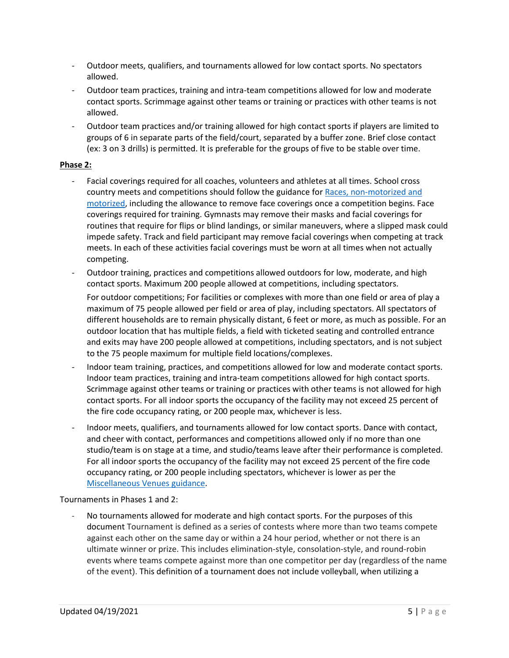- Outdoor meets, qualifiers, and tournaments allowed for low contact sports. No spectators allowed.
- Outdoor team practices, training and intra-team competitions allowed for low and moderate contact sports. Scrimmage against other teams or training or practices with other teams is not allowed.
- Outdoor team practices and/or training allowed for high contact sports if players are limited to groups of 6 in separate parts of the field/court, separated by a buffer zone. Brief close contact (ex: 3 on 3 drills) is permitted. It is preferable for the groups of five to be stable over time.

# **Phase 2:**

- Facial coverings required for all coaches, volunteers and athletes at all times. School cross country meets and competitions should follow the guidance for Races, non-motorized and [motorized,](https://www.governor.wa.gov/sites/default/files/COVID19%20Racing%20Guidance.pdf) including the allowance to remove face coverings once a competition begins. Face coverings required for training. Gymnasts may remove their masks and facial coverings for routines that require for flips or blind landings, or similar maneuvers, where a slipped mask could impede safety. Track and field participant may remove facial coverings when competing at track meets. In each of these activities facial coverings must be worn at all times when not actually competing.
- Outdoor training, practices and competitions allowed outdoors for low, moderate, and high contact sports. Maximum 200 people allowed at competitions, including spectators.

For outdoor competitions; For facilities or complexes with more than one field or area of play a maximum of 75 people allowed per field or area of play, including spectators. All spectators of different households are to remain physically distant, 6 feet or more, as much as possible. For an outdoor location that has multiple fields, a field with ticketed seating and controlled entrance and exits may have 200 people allowed at competitions, including spectators, and is not subject to the 75 people maximum for multiple field locations/complexes.

- Indoor team training, practices, and competitions allowed for low and moderate contact sports. Indoor team practices, training and intra-team competitions allowed for high contact sports. Scrimmage against other teams or training or practices with other teams is not allowed for high contact sports. For all indoor sports the occupancy of the facility may not exceed 25 percent of the fire code occupancy rating, or 200 people max, whichever is less.
- Indoor meets, qualifiers, and tournaments allowed for low contact sports. Dance with contact, and cheer with contact, performances and competitions allowed only if no more than one studio/team is on stage at a time, and studio/teams leave after their performance is completed. For all indoor sports the occupancy of the facility may not exceed 25 percent of the fire code occupancy rating, or 200 people including spectators, whichever is lower as per the [Miscellaneous Venues guidance.](https://www.governor.wa.gov/sites/default/files/COVID19%20Misc%20Venue%20Guidance.pdf)

Tournaments in Phases 1 and 2:

No tournaments allowed for moderate and high contact sports. For the purposes of this document Tournament is defined as a series of contests where more than two teams compete against each other on the same day or within a 24 hour period, whether or not there is an ultimate winner or prize. This includes elimination-style, consolation-style, and round-robin events where teams compete against more than one competitor per day (regardless of the name of the event). This definition of a tournament does not include volleyball, when utilizing a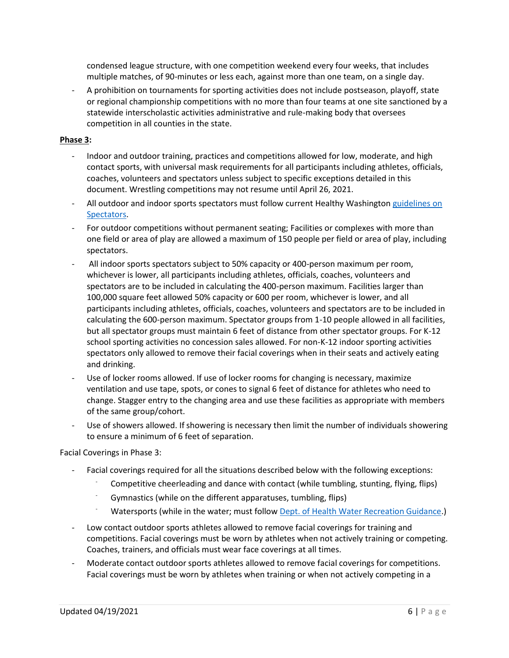condensed league structure, with one competition weekend every four weeks, that includes multiple matches, of 90-minutes or less each, against more than one team, on a single day.

- A prohibition on tournaments for sporting activities does not include postseason, playoff, state or regional championship competitions with no more than four teams at one site sanctioned by a statewide interscholastic activities administrative and rule-making body that oversees competition in all counties in the state.

#### **Phase 3:**

- Indoor and outdoor training, practices and competitions allowed for low, moderate, and high contact sports, with universal mask requirements for all participants including athletes, officials, coaches, volunteers and spectators unless subject to specific exceptions detailed in this document. Wrestling competitions may not resume until April 26, 2021.
- All outdoor and indoor sports spectators must follow current Healthy Washingto[n guidelines on](https://www.governor.wa.gov/sites/default/files/COVID19%20Spectator%20Event%20Guidance.pdf)  [Spectators.](https://www.governor.wa.gov/sites/default/files/COVID19%20Spectator%20Event%20Guidance.pdf)
- For outdoor competitions without permanent seating; Facilities or complexes with more than one field or area of play are allowed a maximum of 150 people per field or area of play, including spectators.
- All indoor sports spectators subject to 50% capacity or 400-person maximum per room, whichever is lower, all participants including athletes, officials, coaches, volunteers and spectators are to be included in calculating the 400-person maximum. Facilities larger than 100,000 square feet allowed 50% capacity or 600 per room, whichever is lower, and all participants including athletes, officials, coaches, volunteers and spectators are to be included in calculating the 600-person maximum. Spectator groups from 1-10 people allowed in all facilities, but all spectator groups must maintain 6 feet of distance from other spectator groups. For K-12 school sporting activities no concession sales allowed. For non-K-12 indoor sporting activities spectators only allowed to remove their facial coverings when in their seats and actively eating and drinking.
- Use of locker rooms allowed. If use of locker rooms for changing is necessary, maximize ventilation and use tape, spots, or cones to signal 6 feet of distance for athletes who need to change. Stagger entry to the changing area and use these facilities as appropriate with members of the same group/cohort.
- Use of showers allowed. If showering is necessary then limit the number of individuals showering to ensure a minimum of 6 feet of separation.

Facial Coverings in Phase 3:

- Facial coverings required for all the situations described below with the following exceptions:
	- Competitive cheerleading and dance with contact (while tumbling, stunting, flying, flips)
	- Gymnastics (while on the different apparatuses, tumbling, flips)
	- Watersports (while in the water; must follo[w Dept. of Health Water Recreation Guidance.](https://www.doh.wa.gov/Portals/1/Documents/1600/coronavirus/ReopeningWaterRecreationFacilitiesCOVID19.pdf))
- Low contact outdoor sports athletes allowed to remove facial coverings for training and competitions. Facial coverings must be worn by athletes when not actively training or competing. Coaches, trainers, and officials must wear face coverings at all times.
- Moderate contact outdoor sports athletes allowed to remove facial coverings for competitions. Facial coverings must be worn by athletes when training or when not actively competing in a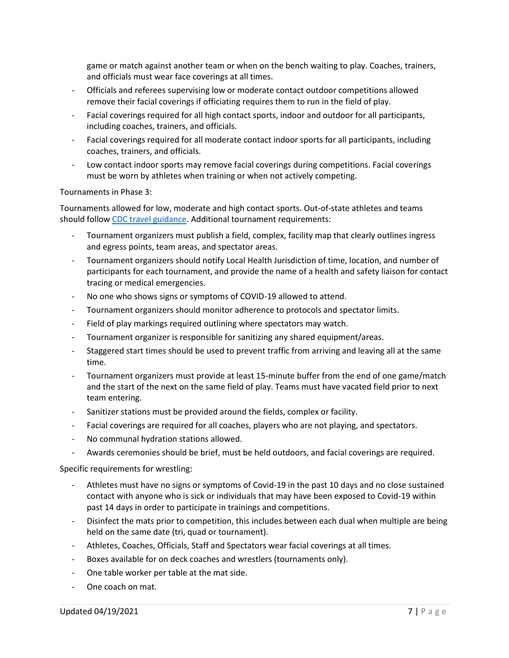game or match against another team or when on the bench waiting to play. Coaches, trainers, and officials must wear face coverings at all times.

- Officials and referees supervising low or moderate contact outdoor competitions allowed remove their facial coverings if officiating requires them to run in the field of play.
- Facial coverings required for all high contact sports, indoor and outdoor for all participants, including coaches, trainers, and officials.
- Facial coverings required for all moderate contact indoor sports for all participants, including coaches, trainers, and officials.
- Low contact indoor sports may remove facial coverings during competitions. Facial coverings must be worn by athletes when training or when not actively competing.

Tournaments in Phase 3:

Tournaments allowed for low, moderate and high contact sports. Out-of-state athletes and teams should follow [CDC travel guidance.](https://www.cdc.gov/coronavirus/2019-ncov/travelers/travel-during-covid19.html) Additional tournament requirements:

- Tournament organizers must publish a field, complex, facility map that clearly outlines ingress and egress points, team areas, and spectator areas.
- Tournament organizers should notify Local Health Jurisdiction of time, location, and number of participants for each tournament, and provide the name of a health and safety liaison for contact tracing or medical emergencies.
- No one who shows signs or symptoms of COVID-19 allowed to attend.
- Tournament organizers should monitor adherence to protocols and spectator limits.
- Field of play markings required outlining where spectators may watch.
- Tournament organizer is responsible for sanitizing any shared equipment/areas.
- Staggered start times should be used to prevent traffic from arriving and leaving all at the same time.
- Tournament organizers must provide at least 15-minute buffer from the end of one game/match and the start of the next on the same field of play. Teams must have vacated field prior to next team entering.
- Sanitizer stations must be provided around the fields, complex or facility.
- Facial coverings are required for all coaches, players who are not playing, and spectators.
- No communal hydration stations allowed.
- Awards ceremonies should be brief, must be held outdoors, and facial coverings are required.

Specific requirements for wrestling:

- Athletes must have no signs or symptoms of Covid-19 in the past 10 days and no close sustained contact with anyone who is sick or individuals that may have been exposed to Covid-19 within past 14 days in order to participate in trainings and competitions.
- Disinfect the mats prior to competition, this includes between each dual when multiple are being held on the same date (tri, quad or tournament).
- Athletes, Coaches, Officials, Staff and Spectators wear facial coverings at all times.
- Boxes available for on deck coaches and wrestlers (tournaments only).
- One table worker per table at the mat side.
- One coach on mat.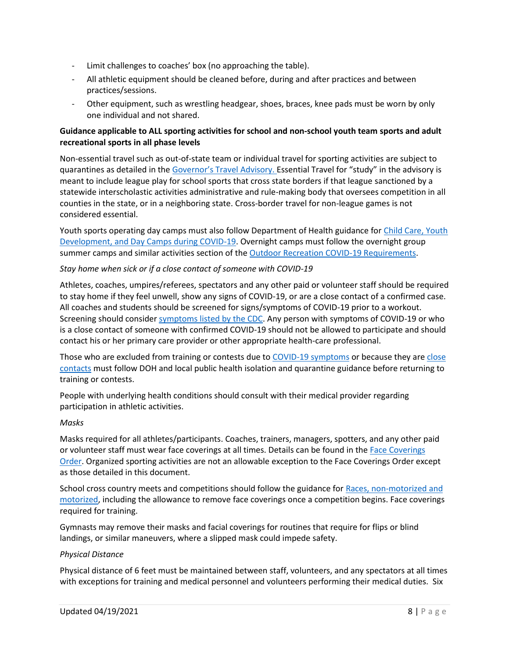- Limit challenges to coaches' box (no approaching the table).
- All athletic equipment should be cleaned before, during and after practices and between practices/sessions.
- Other equipment, such as wrestling headgear, shoes, braces, knee pads must be worn by only one individual and not shared.

## **Guidance applicable to ALL sporting activities for school and non-school youth team sports and adult recreational sports in all phase levels**

Non-essential travel such as out-of-state team or individual travel for sporting activities are subject to quarantines as detailed in the [Governor's Travel Advisory.](https://www.governor.wa.gov/sites/default/files/COVID-19%20Travel%20Advisory%20-%202021.pdf?utm_medium=email&utm_source=govdelivery) Essential Travel for "study" in the advisory is meant to include league play for school sports that cross state borders if that league sanctioned by a statewide interscholastic activities administrative and rule-making body that oversees competition in all counties in the state, or in a neighboring state. Cross-border travel for non-league games is not considered essential.

Youth sports operating day camps must also follow Department of Health guidance for Child Care, Youth [Development, and Day Camps during COVID-19.](https://gcc02.safelinks.protection.outlook.com/?url=https%3A%2F%2Fwww.doh.wa.gov%2FPortals%2F1%2FDocuments%2F1600%2Fcoronavirus%2FDOH-OSPI-DYCF-SchoolsChildCareGuidance.pdf&data=04%7C01%7Cjon.snyder%40gov.wa.gov%7C4a2a131936ab4c135a1f08d8fef67714%7C11d0e217264e400a8ba057dcc127d72d%7C0%7C0%7C637539681796209405%7CUnknown%7CTWFpbGZsb3d8eyJWIjoiMC4wLjAwMDAiLCJQIjoiV2luMzIiLCJBTiI6Ik1haWwiLCJXVCI6Mn0%3D%7C1000&sdata=07xy%2BuZdkSKfUnbc4NcTY2IojrxTqMn%2FWFZ0FH4NyAQ%3D&reserved=0) Overnight camps must follow the overnight group summer camps and similar activities section of the [Outdoor Recreation COVID-19 Requirements.](https://gcc02.safelinks.protection.outlook.com/?url=https%3A%2F%2Fwww.governor.wa.gov%2Fsites%2Fdefault%2Ffiles%2FCOVID19%2520Outdoor%2520Recreation%2520Guidance.pdf&data=04%7C01%7Cjon.snyder%40gov.wa.gov%7C4a2a131936ab4c135a1f08d8fef67714%7C11d0e217264e400a8ba057dcc127d72d%7C0%7C0%7C637539681796219362%7CUnknown%7CTWFpbGZsb3d8eyJWIjoiMC4wLjAwMDAiLCJQIjoiV2luMzIiLCJBTiI6Ik1haWwiLCJXVCI6Mn0%3D%7C1000&sdata=rxTQkXK7GoSGmN48MGGiY%2FCRKZIl4wF9Ei8MtIr3GCI%3D&reserved=0)

#### *Stay home when sick or if a close contact of someone with COVID-19*

Athletes, coaches, umpires/referees, spectators and any other paid or volunteer staff should be required to stay home if they feel unwell, show any signs of COVID-19, or are a close contact of a confirmed case. All coaches and students should be screened for signs/symptoms of COVID-19 prior to a workout. Screening should consider [symptoms listed by the CDC.](https://www.cdc.gov/coronavirus/2019-ncov/symptoms-testing/symptoms.html) Any person with symptoms of COVID-19 or who is a close contact of someone with confirmed COVID-19 should not be allowed to participate and should contact his or her primary care provider or other appropriate health-care professional.

Those who are excluded from training or contests due to [COVID-19 symptoms](https://www.doh.wa.gov/Portals/1/Documents/1600/coronavirus/COVIDconcerned.pdf) or because they ar[e close](https://www.doh.wa.gov/Portals/1/Documents/1600/coronavirus/COVIDexposed.pdf)  [contacts](https://www.doh.wa.gov/Portals/1/Documents/1600/coronavirus/COVIDexposed.pdf) must follow DOH and local public health isolation and quarantine guidance before returning to training or contests.

People with underlying health conditions should consult with their medical provider regarding participation in athletic activities.

#### *Masks*

Masks required for all athletes/participants. Coaches, trainers, managers, spotters, and any other paid or volunteer staff must wear face coverings at all times. Details can be found in the [Face Coverings](https://www.doh.wa.gov/Portals/1/Documents/1600/coronavirus/Secretary_of_Health_Order_20-03_Statewide_Face_Coverings.pdf)  [Order.](https://www.doh.wa.gov/Portals/1/Documents/1600/coronavirus/Secretary_of_Health_Order_20-03_Statewide_Face_Coverings.pdf) Organized sporting activities are not an allowable exception to the Face Coverings Order except as those detailed in this document.

School cross country meets and competitions should follow the guidance for Races, non-motorized and [motorized,](https://www.governor.wa.gov/sites/default/files/COVID19%20Racing%20Guidance.pdf) including the allowance to remove face coverings once a competition begins. Face coverings required for training.

Gymnasts may remove their masks and facial coverings for routines that require for flips or blind landings, or similar maneuvers, where a slipped mask could impede safety.

#### *Physical Distance*

Physical distance of 6 feet must be maintained between staff, volunteers, and any spectators at all times with exceptions for training and medical personnel and volunteers performing their medical duties. Six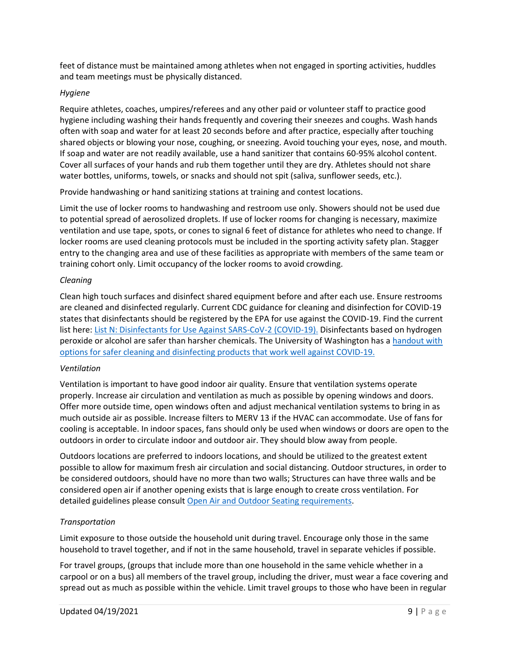feet of distance must be maintained among athletes when not engaged in sporting activities, huddles and team meetings must be physically distanced.

#### *Hygiene*

Require athletes, coaches, umpires/referees and any other paid or volunteer staff to practice good hygiene including washing their hands frequently and covering their sneezes and coughs. Wash hands often with soap and water for at least 20 seconds before and after practice, especially after touching shared objects or blowing your nose, coughing, or sneezing. Avoid touching your eyes, nose, and mouth. If soap and water are not readily available, use a hand sanitizer that contains 60-95% alcohol content. Cover all surfaces of your hands and rub them together until they are dry. Athletes should not share water bottles, uniforms, towels, or snacks and should not spit (saliva, sunflower seeds, etc.).

Provide handwashing or hand sanitizing stations at training and contest locations.

Limit the use of locker rooms to handwashing and restroom use only. Showers should not be used due to potential spread of aerosolized droplets. If use of locker rooms for changing is necessary, maximize ventilation and use tape, spots, or cones to signal 6 feet of distance for athletes who need to change. If locker rooms are used cleaning protocols must be included in the sporting activity safety plan. Stagger entry to the changing area and use of these facilities as appropriate with members of the same team or training cohort only. Limit occupancy of the locker rooms to avoid crowding.

#### *Cleaning*

Clean high touch surfaces and disinfect shared equipment before and after each use. Ensure restrooms are cleaned and disinfected regularly. Current CDC guidance for cleaning and disinfection for COVID-19 states that disinfectants should be registered by the EPA for use against the COVID-19. Find the current list here[: List N: Disinfectants for Use Against SARS-CoV-2 \(COVID-19\).](https://www.epa.gov/pesticide-registration/list-n-disinfectants-coronavirus-covid-19) Disinfectants based on hydrogen peroxide or alcohol are safer than harsher chemicals. The University of Washington has a handout with [options for safer cleaning and disinfecting products that work well against COVID-19.](https://osha.washington.edu/sites/default/files/documents/FactSheet_Cleaning_Final_UWDEOHS_0.pdf)

# *Ventilation*

Ventilation is important to have good indoor air quality. Ensure that ventilation systems operate properly. Increase air circulation and ventilation as much as possible by opening windows and doors. Offer more outside time, open windows often and adjust mechanical ventilation systems to bring in as much outside air as possible. Increase filters to MERV 13 if the HVAC can accommodate. Use of fans for cooling is acceptable. In indoor spaces, fans should only be used when windows or doors are open to the outdoors in order to circulate indoor and outdoor air. They should blow away from people.

Outdoors locations are preferred to indoors locations, and should be utilized to the greatest extent possible to allow for maximum fresh air circulation and social distancing. Outdoor structures, in order to be considered outdoors, should have no more than two walls; Structures can have three walls and be considered open air if another opening exists that is large enough to create cross ventilation. For detailed guidelines please consult [Open Air and Outdoor Seating requirements.](https://www.governor.wa.gov/sites/default/files/COVID19%20Outdoor%20Open%20Air%20Seating%20Guidance.pdf)

# *Transportation*

Limit exposure to those outside the household unit during travel. Encourage only those in the same household to travel together, and if not in the same household, travel in separate vehicles if possible.

For travel groups, (groups that include more than one household in the same vehicle whether in a carpool or on a bus) all members of the travel group, including the driver, must wear a face covering and spread out as much as possible within the vehicle. Limit travel groups to those who have been in regular